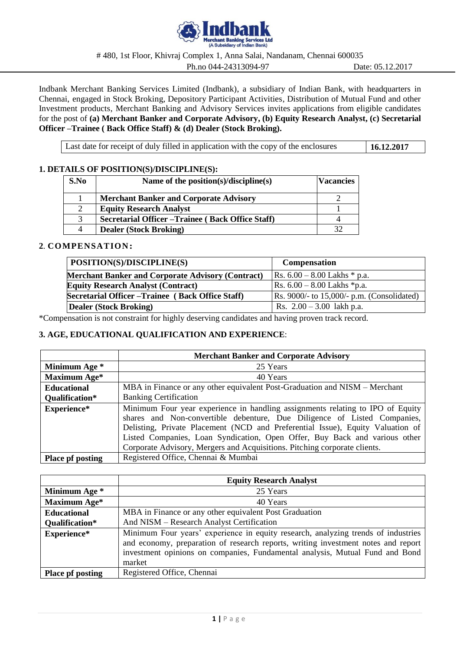

# 480, 1st Floor, Khivraj Complex 1, Anna Salai, Nandanam, Chennai 600035

Ph.no 044-24313094-97 Date: 05.12.2017

Indbank Merchant Banking Services Limited (Indbank), a subsidiary of Indian Bank, with headquarters in Chennai, engaged in Stock Broking, Depository Participant Activities, Distribution of Mutual Fund and other Investment products, Merchant Banking and Advisory Services invites applications from eligible candidates for the post of **(a) Merchant Banker and Corporate Advisory, (b) Equity Research Analyst, (c) Secretarial Officer –Trainee ( Back Office Staff) & (d) Dealer (Stock Broking).**

Last date for receipt of duly filled in application with the copy of the enclosures **16.12.2017** 

# **1. DETAILS OF POSITION(S)/DISCIPLINE(S):**

| S.No | Name of the position(s)/discipline(s)             | <b>Vacancies</b> |
|------|---------------------------------------------------|------------------|
|      | <b>Merchant Banker and Corporate Advisory</b>     |                  |
|      | <b>Equity Research Analyst</b>                    |                  |
|      | Secretarial Officer – Trainee (Back Office Staff) |                  |
|      | <b>Dealer (Stock Broking)</b>                     |                  |

## **2**. **COMPENSATION:**

| POSITION(S)/DISCIPLINE(S)                                | <b>Compensation</b>                            |
|----------------------------------------------------------|------------------------------------------------|
| <b>Merchant Banker and Corporate Advisory (Contract)</b> | $\text{Rs. } 6.00 - 8.00 \text{ Lakhs}$ * p.a. |
| <b>Equity Research Analyst (Contract)</b>                | Rs. $6.00 - 8.00$ Lakhs *p.a.                  |
| Secretarial Officer – Trainee (Back Office Staff)        | Rs. 9000/- to 15,000/- p.m. (Consolidated)     |
| Dealer (Stock Broking)                                   | Rs. $2.00 - 3.00$ lakh p.a.                    |

\*Compensation is not constraint for highly deserving candidates and having proven track record.

# **3. AGE, EDUCATIONAL QUALIFICATION AND EXPERIENCE**:

|                                                                | <b>Merchant Banker and Corporate Advisory</b>                                                                                                                                                                                                                                                                                                                                                           |  |  |
|----------------------------------------------------------------|---------------------------------------------------------------------------------------------------------------------------------------------------------------------------------------------------------------------------------------------------------------------------------------------------------------------------------------------------------------------------------------------------------|--|--|
| Minimum Age *                                                  | 25 Years                                                                                                                                                                                                                                                                                                                                                                                                |  |  |
| Maximum Age*                                                   | 40 Years                                                                                                                                                                                                                                                                                                                                                                                                |  |  |
| <b>Educational</b>                                             | MBA in Finance or any other equivalent Post-Graduation and NISM – Merchant                                                                                                                                                                                                                                                                                                                              |  |  |
| Qualification*                                                 | <b>Banking Certification</b>                                                                                                                                                                                                                                                                                                                                                                            |  |  |
| Experience*                                                    | Minimum Four year experience in handling assignments relating to IPO of Equity<br>shares and Non-convertible debenture, Due Diligence of Listed Companies,<br>Delisting, Private Placement (NCD and Preferential Issue), Equity Valuation of<br>Listed Companies, Loan Syndication, Open Offer, Buy Back and various other<br>Corporate Advisory, Mergers and Acquisitions. Pitching corporate clients. |  |  |
| Registered Office, Chennai & Mumbai<br><b>Place pf posting</b> |                                                                                                                                                                                                                                                                                                                                                                                                         |  |  |

|                         | <b>Equity Research Analyst</b>                                                                                                                                                                                                                                   |  |  |
|-------------------------|------------------------------------------------------------------------------------------------------------------------------------------------------------------------------------------------------------------------------------------------------------------|--|--|
| Minimum Age *           | 25 Years                                                                                                                                                                                                                                                         |  |  |
| Maximum Age*            | 40 Years                                                                                                                                                                                                                                                         |  |  |
| <b>Educational</b>      | MBA in Finance or any other equivalent Post Graduation                                                                                                                                                                                                           |  |  |
| Qualification*          | And NISM - Research Analyst Certification                                                                                                                                                                                                                        |  |  |
| Experience*             | Minimum Four years' experience in equity research, analyzing trends of industries<br>and economy, preparation of research reports, writing investment notes and report<br>investment opinions on companies, Fundamental analysis, Mutual Fund and Bond<br>market |  |  |
| <b>Place pf posting</b> | Registered Office, Chennai                                                                                                                                                                                                                                       |  |  |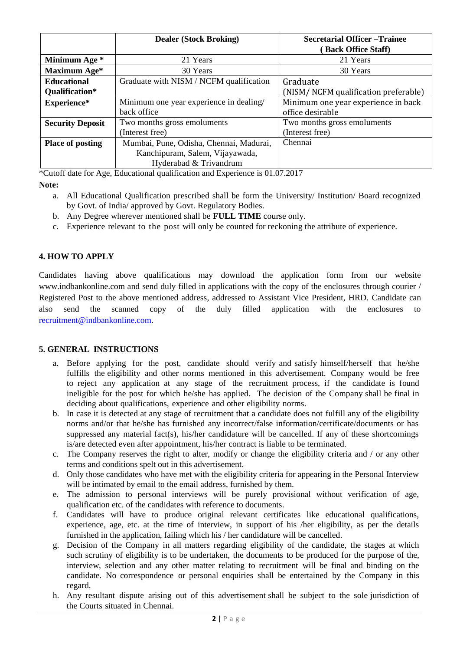|                         | <b>Dealer (Stock Broking)</b>           | <b>Secretarial Officer – Trainee</b> |
|-------------------------|-----------------------------------------|--------------------------------------|
|                         |                                         | (Back Office Staff)                  |
| Minimum Age *           | 21 Years                                | 21 Years                             |
| Maximum Age*            | 30 Years                                | 30 Years                             |
| <b>Educational</b>      | Graduate with NISM / NCFM qualification | Graduate                             |
| Qualification*          |                                         | (NISM/NCFM qualification preferable) |
| Experience*             | Minimum one year experience in dealing/ | Minimum one year experience in back  |
|                         | back office                             | office desirable                     |
| <b>Security Deposit</b> | Two months gross emoluments             | Two months gross emoluments          |
|                         | (Interest free)                         | (Interest free)                      |
| <b>Place of posting</b> | Mumbai, Pune, Odisha, Chennai, Madurai, | Chennai                              |
|                         | Kanchipuram, Salem, Vijayawada,         |                                      |
|                         | Hyderabad & Trivandrum                  |                                      |

\*Cutoff date for Age, Educational qualification and Experience is 01.07.2017

**Note:**

- a. All Educational Qualification prescribed shall be form the University/ Institution/ Board recognized by Govt. of India/ approved by Govt. Regulatory Bodies.
- b. Any Degree wherever mentioned shall be **FULL TIME** course only.
- c. Experience relevant to the post will only be counted for reckoning the attribute of experience.

# **4. HOW TO APPLY**

Candidates having above qualifications may download the application form from our website www.indbankonline.com and send duly filled in applications with the copy of the enclosures through courier / Registered Post to the above mentioned address, addressed to Assistant Vice President, HRD. Candidate can also send the scanned copy of the duly filled application with the enclosures to [recruitment@indbankonline.com.](mailto:recruitment@indbankonline.com)

# **5. GENERAL INSTRUCTIONS**

- a. Before applying for the post, candidate should verify and satisfy himself/herself that he/she fulfills the eligibility and other norms mentioned in this advertisement. Company would be free to reject any application at any stage of the recruitment process, if the candidate is found ineligible for the post for which he/she has applied. The decision of the Company shall be final in deciding about qualifications, experience and other eligibility norms.
- b. In case it is detected at any stage of recruitment that a candidate does not fulfill any of the eligibility norms and/or that he/she has furnished any incorrect/false information/certificate/documents or has suppressed any material fact(s), his/her candidature will be cancelled. If any of these shortcomings is/are detected even after appointment, his/her contract is liable to be terminated.
- c. The Company reserves the right to alter, modify or change the eligibility criteria and / or any other terms and conditions spelt out in this advertisement.
- d. Only those candidates who have met with the eligibility criteria for appearing in the Personal Interview will be intimated by email to the email address, furnished by them.
- e. The admission to personal interviews will be purely provisional without verification of age, qualification etc. of the candidates with reference to documents.
- f. Candidates will have to produce original relevant certificates like educational qualifications, experience, age, etc. at the time of interview, in support of his /her eligibility, as per the details furnished in the application, failing which his / her candidature will be cancelled.
- g. Decision of the Company in all matters regarding eligibility of the candidate, the stages at which such scrutiny of eligibility is to be undertaken, the documents to be produced for the purpose of the, interview, selection and any other matter relating to recruitment will be final and binding on the candidate. No correspondence or personal enquiries shall be entertained by the Company in this regard.
- h. Any resultant dispute arising out of this advertisement shall be subject to the sole jurisdiction of the Courts situated in Chennai.